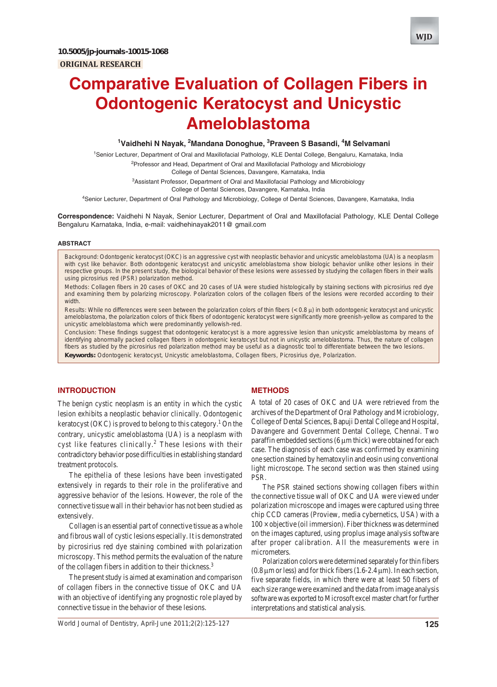

# **Comparative Evaluation of Collagen Fibers in Odontogenic Keratocyst and Unicystic Ameloblastoma**

<sup>1</sup>Vaidhehi N Nayak, <sup>2</sup>Mandana Donoghue, <sup>3</sup>Praveen S Basandi, <sup>4</sup>M Selvamani

1 Senior Lecturer, Department of Oral and Maxillofacial Pathology, KLE Dental College, Bengaluru, Karnataka, India <sup>2</sup>Professor and Head, Department of Oral and Maxillofacial Pathology and Microbiology

College of Dental Sciences, Davangere, Karnataka, India

<sup>3</sup>Assistant Professor, Department of Oral and Maxillofacial Pathology and Microbiology College of Dental Sciences, Davangere, Karnataka, India

4 Senior Lecturer, Department of Oral Pathology and Microbiology, College of Dental Sciences, Davangere, Karnataka, India

**Correspondence:** Vaidhehi N Nayak, Senior Lecturer, Department of Oral and Maxillofacial Pathology, KLE Dental College Bengaluru Karnataka, India, e-mail: vaidhehinayak2011@ gmail.com

#### **ABSTRACT**

*Background*: Odontogenic keratocyst (OKC) is an aggressive cyst with neoplastic behavior and unicystic ameloblastoma (UA) is a neoplasm with cyst like behavior. Both odontogenic keratocyst and unicystic ameloblastoma show biologic behavior unlike other lesions in their respective groups. In the present study, the biological behavior of these lesions were assessed by studying the collagen fibers in their walls using picrosirius red (PSR) polarization method.

*Methods*: Collagen fibers in 20 cases of OKC and 20 cases of UA were studied histologically by staining sections with picrosirius red dye and examining them by polarizing microscopy. Polarization colors of the collagen fibers of the lesions were recorded according to their width.

*Results*: While no differences were seen between the polarization colors of thin fibers (< 0.8 μ) in both odontogenic keratocyst and unicystic ameloblastoma, the polarization colors of thick fibers of odontogenic keratocyst were significantly more greenish-yellow as compared to the unicystic ameloblastoma which were predominantly yellowish-red.

*Conclusion*: These findings suggest that odontogenic keratocyst is a more aggressive lesion than unicystic ameloblastoma by means of identifying abnormally packed collagen fibers in odontogenic keratocyst but not in unicystic ameloblastoma. Thus, the nature of collagen fibers as studied by the picrosirius red polarization method may be useful as a diagnostic tool to differentiate between the two lesions. **Keywords:** Odontogenic keratocyst, Unicystic ameloblastoma, Collagen fibers, Picrosirius dye, Polarization.

## **INTRODUCTION**

The benign cystic neoplasm is an entity in which the cystic lesion exhibits a neoplastic behavior clinically. Odontogenic keratocyst (OKC) is proved to belong to this category.<sup>1</sup> On the contrary, unicystic ameloblastoma (UA) is a neoplasm with cyst like features clinically.<sup>2</sup> These lesions with their contradictory behavior pose difficulties in establishing standard treatment protocols.

The epithelia of these lesions have been investigated extensively in regards to their role in the proliferative and aggressive behavior of the lesions. However, the role of the connective tissue wall in their behavior has not been studied as extensively.

Collagen is an essential part of connective tissue as a whole and fibrous wall of cystic lesions especially. It is demonstrated by picrosirius red dye staining combined with polarization microscopy. This method permits the evaluation of the nature of the collagen fibers in addition to their thickness.<sup>3</sup>

The present study is aimed at examination and comparison of collagen fibers in the connective tissue of OKC and UA with an objective of identifying any prognostic role played by connective tissue in the behavior of these lesions.

#### **METHODS**

A total of 20 cases of OKC and UA were retrieved from the archives of the Department of Oral Pathology and Microbiology, College of Dental Sciences, Bapuji Dental College and Hospital, Davangere and Government Dental College, Chennai. Two paraffin embedded sections (6 μm thick) were obtained for each case. The diagnosis of each case was confirmed by examining one section stained by hematoxylin and eosin using conventional light microscope. The second section was then stained using PSR.

The PSR stained sections showing collagen fibers within the connective tissue wall of OKC and UA were viewed under polarization microscope and images were captured using three chip CCD cameras (Proview, media cybernetics, USA) with a  $100 \times$  objective (oil immersion). Fiber thickness was determined on the images captured, using proplus image analysis software after proper calibration. All the measurements were in micrometers.

Polarization colors were determined separately for thin fibers (0.8 μm or less) and for thick fibers (1.6-2.4 μm). In each section, five separate fields, in which there were at least 50 fibers of each size range were examined and the data from image analysis software was exported to Microsoft excel master chart for further interpretations and statistical analysis.

*World Journal of Dentistry, April-June 2011;2(2):125-127* **125**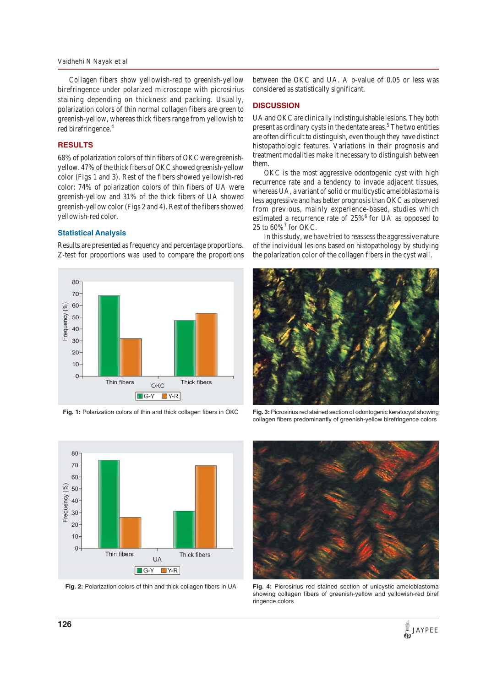#### *Vaidhehi N Nayak et al*

Collagen fibers show yellowish-red to greenish-yellow birefringence under polarized microscope with picrosirius staining depending on thickness and packing. Usually, polarization colors of thin normal collagen fibers are green to greenish-yellow, whereas thick fibers range from yellowish to red birefringence.<sup>4</sup>

# **RESULTS**

68% of polarization colors of thin fibers of OKC were greenishyellow. 47% of the thick fibers of OKC showed greenish-yellow color (Figs 1 and 3). Rest of the fibers showed yellowish-red color; 74% of polarization colors of thin fibers of UA were greenish-yellow and 31% of the thick fibers of UA showed greenish-yellow color (Figs 2 and 4). Rest of the fibers showed yellowish-red color.

#### **Statistical Analysis**

Results are presented as frequency and percentage proportions. Z-test for proportions was used to compare the proportions



**Fig. 1:** Polarization colors of thin and thick collagen fibers in OKC

between the OKC and UA. A p-value of 0.05 or less was considered as statistically significant.

# **DISCUSSION**

UA and OKC are clinically indistinguishable lesions. They both present as ordinary cysts in the dentate areas.<sup>5</sup> The two entities are often difficult to distinguish, even though they have distinct histopathologic features. Variations in their prognosis and treatment modalities make it necessary to distinguish between them.

OKC is the most aggressive odontogenic cyst with high recurrence rate and a tendency to invade adjacent tissues, whereas UA, a variant of solid or multicystic ameloblastoma is less aggressive and has better prognosis than OKC as observed from previous, mainly experience-based, studies which estimated a recurrence rate of 25%<sup>6</sup> for UA as opposed to 25 to  $60\%$ <sup>7</sup> for OKC.

In this study, we have tried to reassess the aggressive nature of the individual lesions based on histopathology by studying the polarization color of the collagen fibers in the cyst wall.



**Fig. 3:** Picrosirius red stained section of odontogenic keratocyst showing collagen fibers predominantly of greenish-yellow birefringence colors



**Fig. 2:** Polarization colors of thin and thick collagen fibers in UA



**Fig. 4:** Picrosirius red stained section of unicystic ameloblastoma showing collagen fibers of greenish-yellow and yellowish-red biref ringence colors